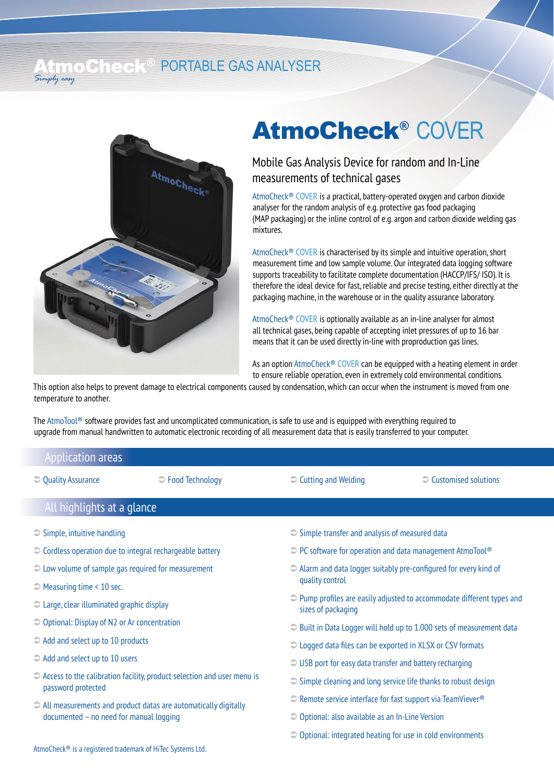### AT THOCH THE R PORTABLE GAS ANALYSER *Simply easy*



## AtmoCheck® COVER

### Mobile Gas Analysis Device for random and In-Line measurements of technical gases

AtmoCheck® COVER is a practical, battery-operated oxygen and carbon dioxide analyser for the random analysis of e.g. protective gas food packaging (MAP packaging) or the inline control of e.g. argon and carbon dioxide welding gas mixtures.

AtmoCheck® COVER is characterised by its simple and intuitive operation, short measurement time and low sample volume. Our integrated data logging software supports traceability to facilitate complete documentation (HACCP/IFS/ ISO). It is therefore the ideal device for fast, reliable and precise testing, either directly at the packaging machine, in the warehouse or in the quality assurance laboratory.

AtmoCheck® COVER is optionally available as an in-line analyser for almost all technical gases, being capable of accepting inlet pressures of up to 16 bar means that it can be used directly in-line with proproduction gas lines.

As an option AtmoCheck<sup>®</sup> COVER can be equipped with a heating element in order to ensure reliable operation, even in extremely cold environmental conditions.

This option also helps to prevent damage to electrical components caused by condensation, which can occur when the instrument is moved from one temperature to another.

The AtmoTool<sup>®</sup> software provides fast and uncomplicated communication, is safe to use and is equipped with everything required to upgrade from manual handwritten to automatic electronic recording of all measurement data that is easily transferred to your computer.

### Application areas

**◯ Quality Assurance** 

**■** Food Technology **Cutting and Welding <b>Customised** solutions **■** Customised solutions

| All highlights at a glance                                                                                          |                                                                                                      |  |
|---------------------------------------------------------------------------------------------------------------------|------------------------------------------------------------------------------------------------------|--|
| $\supset$ Simple, intuitive handling                                                                                | $\supset$ Simple transfer and analysis of measured data                                              |  |
| $\supset$ Cordless operation due to integral rechargeable battery                                                   | $\supset$ PC software for operation and data management AtmoTool®                                    |  |
| $\supset$ Low volume of sample gas required for measurement                                                         | $\supset$ Alarm and data logger suitably pre-configured for every kind of<br>quality control         |  |
| $\supset$ Measuring time < 10 sec.                                                                                  |                                                                                                      |  |
| $\supset$ Large, clear illuminated graphic display                                                                  | $\supset$ Pump profiles are easily adjusted to accommodate different types and<br>sizes of packaging |  |
| $\supset$ Optional: Display of N2 or Ar concentration                                                               | $\supset$ Built in Data Logger will hold up to 1.000 sets of measurement data                        |  |
| $\supset$ Add and select up to 10 products                                                                          | $\supset$ Logged data files can be exported in XLSX or CSV formats                                   |  |
| $\supset$ Add and select up to 10 users                                                                             | $\supset$ USB port for easy data transfer and battery recharging                                     |  |
| $\supset$ Access to the calibration facility, product selection and user menu is<br>password protected              | $\supset$ Simple cleaning and long service life thanks to robust design                              |  |
| $\supset$ All measurements and product datas are automatically digitally<br>documented - no need for manual logging | $\supset$ Remote service interface for fast support via TeamViever <sup>®</sup>                      |  |
|                                                                                                                     | $\supset$ Optional: also available as an In-Line Version                                             |  |
|                                                                                                                     | $\supset$ Optional: integrated heating for use in cold environments                                  |  |
| AtmoCheck <sup>®</sup> is a registered trademark of HiTec Systems Ltd.                                              |                                                                                                      |  |